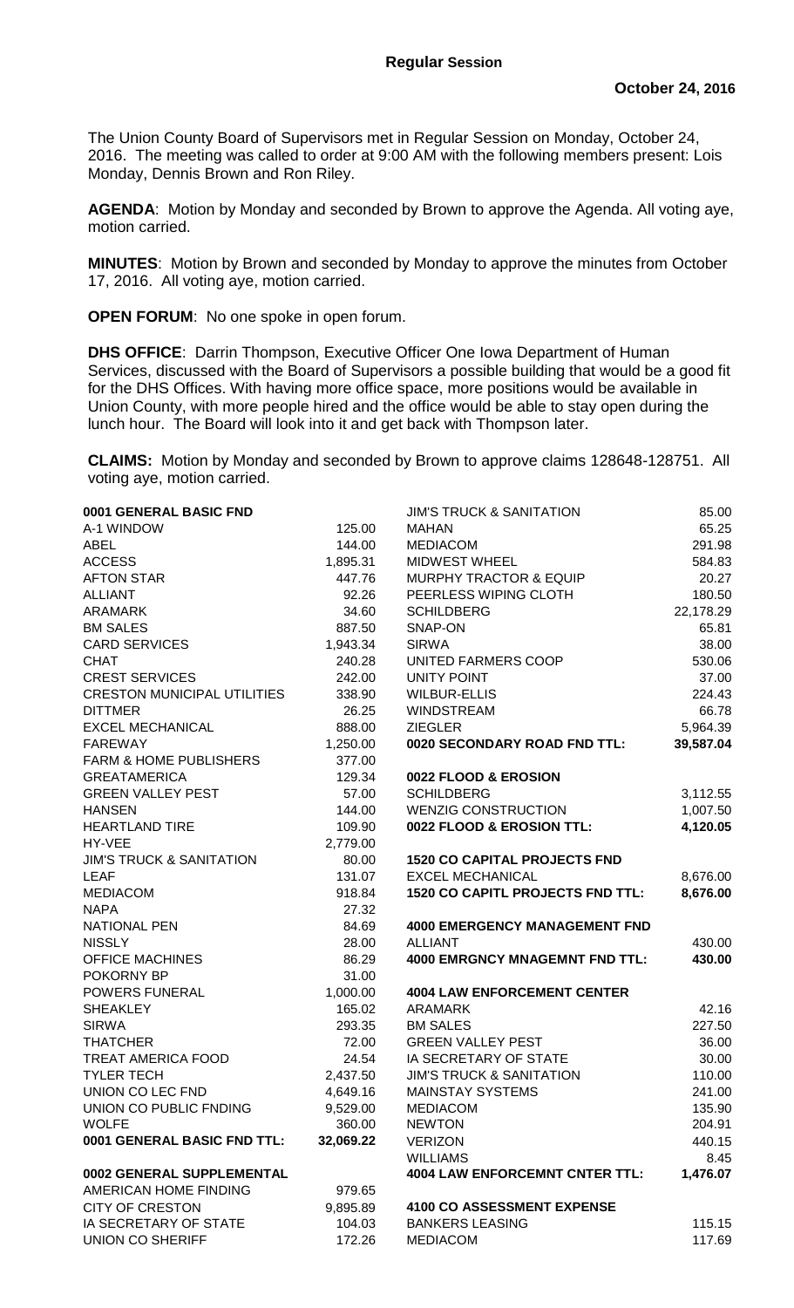The Union County Board of Supervisors met in Regular Session on Monday, October 24, 2016. The meeting was called to order at 9:00 AM with the following members present: Lois Monday, Dennis Brown and Ron Riley.

**AGENDA**: Motion by Monday and seconded by Brown to approve the Agenda. All voting aye, motion carried.

**MINUTES**: Motion by Brown and seconded by Monday to approve the minutes from October 17, 2016. All voting aye, motion carried.

**OPEN FORUM**: No one spoke in open forum.

**DHS OFFICE**: Darrin Thompson, Executive Officer One Iowa Department of Human Services, discussed with the Board of Supervisors a possible building that would be a good fit for the DHS Offices. With having more office space, more positions would be available in Union County, with more people hired and the office would be able to stay open during the lunch hour. The Board will look into it and get back with Thompson later.

**CLAIMS:** Motion by Monday and seconded by Brown to approve claims 128648-128751. All voting aye, motion carried.

| 0001 GENERAL BASIC FND              |           | <b>JIM'S TRUCK &amp; SANITATION</b>     | 85.00     |
|-------------------------------------|-----------|-----------------------------------------|-----------|
| A-1 WINDOW                          | 125.00    | <b>MAHAN</b>                            | 65.25     |
| <b>ABEL</b>                         | 144.00    | <b>MEDIACOM</b>                         | 291.98    |
| <b>ACCESS</b>                       | 1,895.31  | <b>MIDWEST WHEEL</b>                    | 584.83    |
| <b>AFTON STAR</b>                   | 447.76    | <b>MURPHY TRACTOR &amp; EQUIP</b>       | 20.27     |
| <b>ALLIANT</b>                      | 92.26     | PEERLESS WIPING CLOTH                   | 180.50    |
| <b>ARAMARK</b>                      | 34.60     | <b>SCHILDBERG</b>                       | 22,178.29 |
| <b>BM SALES</b>                     | 887.50    | SNAP-ON                                 | 65.81     |
| <b>CARD SERVICES</b>                | 1,943.34  | <b>SIRWA</b>                            | 38.00     |
| <b>CHAT</b>                         | 240.28    | UNITED FARMERS COOP                     | 530.06    |
| <b>CREST SERVICES</b>               | 242.00    | <b>UNITY POINT</b>                      | 37.00     |
| <b>CRESTON MUNICIPAL UTILITIES</b>  | 338.90    | <b>WILBUR-ELLIS</b>                     | 224.43    |
| <b>DITTMER</b>                      | 26.25     | <b>WINDSTREAM</b>                       | 66.78     |
| <b>EXCEL MECHANICAL</b>             | 888.00    | <b>ZIEGLER</b>                          | 5,964.39  |
| <b>FAREWAY</b>                      | 1,250.00  | 0020 SECONDARY ROAD FND TTL:            | 39,587.04 |
| <b>FARM &amp; HOME PUBLISHERS</b>   | 377.00    |                                         |           |
| <b>GREATAMERICA</b>                 | 129.34    | 0022 FLOOD & EROSION                    |           |
| <b>GREEN VALLEY PEST</b>            | 57.00     | <b>SCHILDBERG</b>                       | 3,112.55  |
| <b>HANSEN</b>                       | 144.00    | <b>WENZIG CONSTRUCTION</b>              | 1,007.50  |
| <b>HEARTLAND TIRE</b>               | 109.90    | 0022 FLOOD & EROSION TTL:               | 4,120.05  |
| HY-VEE                              | 2,779.00  |                                         |           |
| <b>JIM'S TRUCK &amp; SANITATION</b> | 80.00     | <b>1520 CO CAPITAL PROJECTS FND</b>     |           |
| <b>LEAF</b>                         | 131.07    | <b>EXCEL MECHANICAL</b>                 | 8,676.00  |
| <b>MEDIACOM</b>                     | 918.84    | <b>1520 CO CAPITL PROJECTS FND TTL:</b> | 8,676.00  |
| <b>NAPA</b>                         | 27.32     |                                         |           |
| <b>NATIONAL PEN</b>                 | 84.69     | <b>4000 EMERGENCY MANAGEMENT FND</b>    |           |
| <b>NISSLY</b>                       | 28.00     | <b>ALLIANT</b>                          | 430.00    |
| <b>OFFICE MACHINES</b>              | 86.29     | <b>4000 EMRGNCY MNAGEMNT FND TTL:</b>   | 430.00    |
| POKORNY BP                          | 31.00     |                                         |           |
| <b>POWERS FUNERAL</b>               | 1,000.00  | <b>4004 LAW ENFORCEMENT CENTER</b>      |           |
| <b>SHEAKLEY</b>                     | 165.02    | ARAMARK                                 | 42.16     |
| <b>SIRWA</b>                        | 293.35    | <b>BM SALES</b>                         | 227.50    |
| <b>THATCHER</b>                     | 72.00     | <b>GREEN VALLEY PEST</b>                | 36.00     |
| TREAT AMERICA FOOD                  | 24.54     | IA SECRETARY OF STATE                   | 30.00     |
| <b>TYLER TECH</b>                   | 2,437.50  | <b>JIM'S TRUCK &amp; SANITATION</b>     | 110.00    |
| UNION CO LEC FND                    | 4,649.16  | <b>MAINSTAY SYSTEMS</b>                 | 241.00    |
| UNION CO PUBLIC FNDING              | 9,529.00  | <b>MEDIACOM</b>                         | 135.90    |
| <b>WOLFE</b>                        | 360.00    | <b>NEWTON</b>                           | 204.91    |
| 0001 GENERAL BASIC FND TTL:         | 32,069.22 | <b>VERIZON</b>                          | 440.15    |
|                                     |           | <b>WILLIAMS</b>                         | 8.45      |
| 0002 GENERAL SUPPLEMENTAL           |           | <b>4004 LAW ENFORCEMNT CNTER TTL:</b>   | 1,476.07  |
| AMERICAN HOME FINDING               | 979.65    |                                         |           |
| <b>CITY OF CRESTON</b>              | 9,895.89  | <b>4100 CO ASSESSMENT EXPENSE</b>       |           |
| IA SECRETARY OF STATE               | 104.03    | <b>BANKERS LEASING</b>                  | 115.15    |
| <b>UNION CO SHERIFF</b>             | 172.26    | <b>MEDIACOM</b>                         | 117.69    |
|                                     |           |                                         |           |